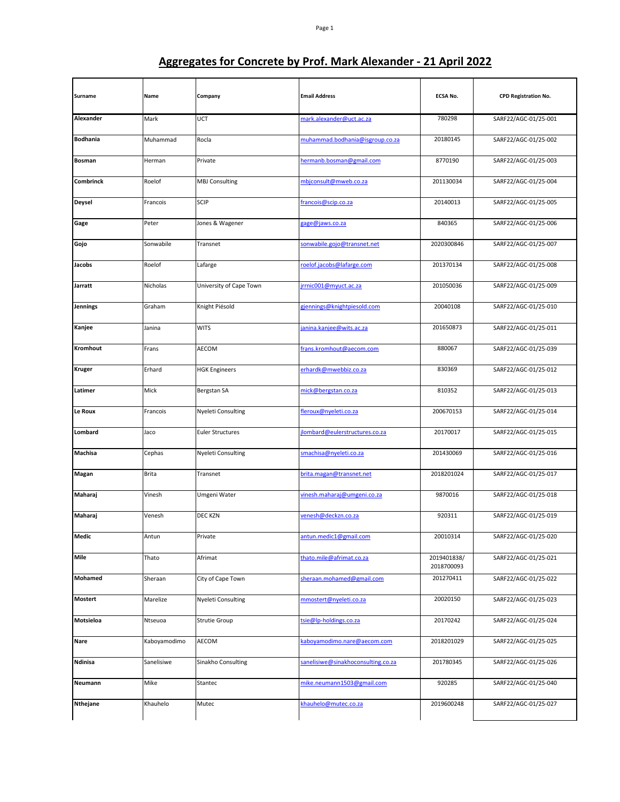| Surname          | Name         | Company                   | <b>Email Address</b>               | <b>ECSA No.</b>           | <b>CPD Registration No.</b> |
|------------------|--------------|---------------------------|------------------------------------|---------------------------|-----------------------------|
| Alexander        | Mark         | UCT                       | mark.alexander@uct.ac.za           | 780298                    | SARF22/AGC-01/25-001        |
| <b>Bodhania</b>  | Muhammad     | Rocla                     | muhammad.bodhania@isgroup.co.za    | 20180145                  | SARF22/AGC-01/25-002        |
| <b>Bosman</b>    | Herman       | Private                   | hermanb.bosman@gmail.com           | 8770190                   | SARF22/AGC-01/25-003        |
| Combrinck        | Roelof       | <b>MBJ Consulting</b>     | mbjconsult@mweb.co.za              | 201130034                 | SARF22/AGC-01/25-004        |
| <b>Deysel</b>    | Francois     | SCIP                      | francois@scip.co.za                | 20140013                  | SARF22/AGC-01/25-005        |
| Gage             | Peter        | Jones & Wagener           | zage@jaws.co.za                    | 840365                    | SARF22/AGC-01/25-006        |
| Gojo             | Sonwabile    | Transnet                  | sonwabile.gojo@transnet.net        | 2020300846                | SARF22/AGC-01/25-007        |
| Jacobs           | Roelof       | Lafarge                   | roelof.jacobs@lafarge.com          | 201370134                 | SARF22/AGC-01/25-008        |
| Jarratt          | Nicholas     | University of Cape Town   | jrrnic001@myuct.ac.za              | 201050036                 | SARF22/AGC-01/25-009        |
| Jennings         | Graham       | Knight Piésold            | gjennings@knightpiesold.com        | 20040108                  | SARF22/AGC-01/25-010        |
| Kanjee           | Janina       | <b>WITS</b>               | anina.kanjee@wits.ac.za            | 201650873                 | SARF22/AGC-01/25-011        |
| Kromhout         | Frans        | AECOM                     | frans.kromhout@aecom.com           | 880067                    | SARF22/AGC-01/25-039        |
| <b>Kruger</b>    | Erhard       | <b>HGK Engineers</b>      | erhardk@mwebbiz.co.za              | 830369                    | SARF22/AGC-01/25-012        |
| Latimer          | Mick         | Bergstan SA               | mick@bergstan.co.za                | 810352                    | SARF22/AGC-01/25-013        |
| Le Roux          | Francois     | <b>Nyeleti Consulting</b> | fleroux@nyeleti.co.za              | 200670153                 | SARF22/AGC-01/25-014        |
| Lombard          | Jaco         | <b>Euler Structures</b>   | jlombard@eulerstructures.co.za     | 20170017                  | SARF22/AGC-01/25-015        |
| Machisa          | Cephas       | Nyeleti Consulting        | smachisa@nyeleti.co.za             | 201430069                 | SARF22/AGC-01/25-016        |
| Magan            | Brita        | Transnet                  | brita.magan@transnet.net           | 2018201024                | SARF22/AGC-01/25-017        |
| Maharaj          | Vinesh       | Umgeni Water              | vinesh.maharaj@umgeni.co.za        | 9870016                   | SARF22/AGC-01/25-018        |
| Maharaj          | Venesh       | <b>DEC KZN</b>            | venesh@deckzn.co.za                | 920311                    | SARF22/AGC-01/25-019        |
| Medic            | Antun        | Private                   | antun.medic1@gmail.com             | 20010314                  | SARF22/AGC-01/25-020        |
| Mile             | Thato        | Afrimat                   | thato.mile@afrimat.co.za           | 2019401838/<br>2018700093 | SARF22/AGC-01/25-021        |
| <b>Mohamed</b>   | Sheraan      | City of Cape Town         | sheraan.mohamed@gmail.com          | 201270411                 | SARF22/AGC-01/25-022        |
| <b>Mostert</b>   | Marelize     | Nyeleti Consulting        | mmostert@nyeleti.co.za             | 20020150                  | SARF22/AGC-01/25-023        |
| <b>Motsieloa</b> | Ntseuoa      | <b>Strutie Group</b>      | tsie@lp-holdings.co.za             | 20170242                  | SARF22/AGC-01/25-024        |
| <b>Nare</b>      | Kaboyamodimo | AECOM                     | kaboyamodimo.nare@aecom.com        | 2018201029                | SARF22/AGC-01/25-025        |
| Ndinisa          | Sanelisiwe   | Sinakho Consulting        | sanelisiwe@sinakhoconsulting.co.za | 201780345                 | SARF22/AGC-01/25-026        |
| Neumann          | Mike         | Stantec                   | mike.neumann1503@gmail.com         | 920285                    | SARF22/AGC-01/25-040        |
| Nthejane         | Khauhelo     | Mutec                     | khauhelo@mutec.co.za               | 2019600248                | SARF22/AGC-01/25-027        |

## **Aggregates for Concrete by Prof. Mark Alexander - 21 April 2022**